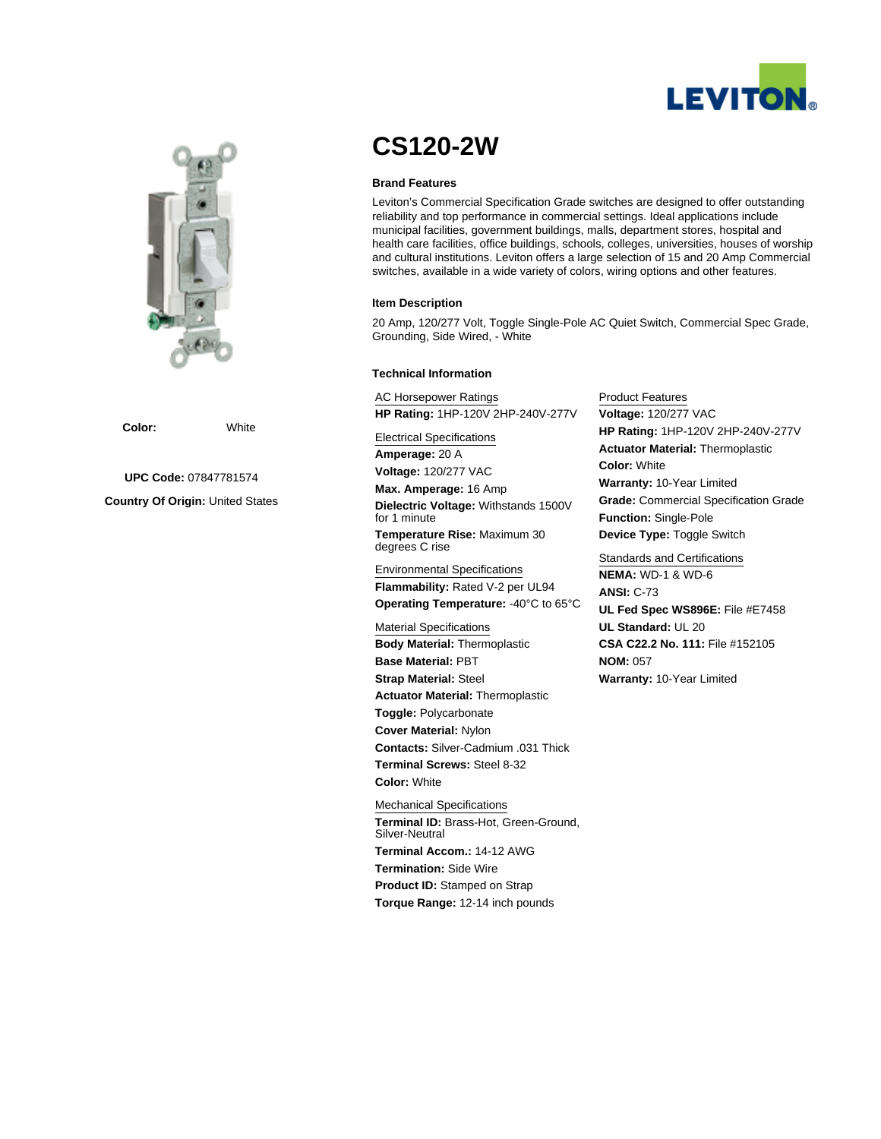



**Color:** White

**UPC Code:** 07847781574

**Country Of Origin:** United States

# **CS120-2W**

#### **Brand Features**

Leviton's Commercial Specification Grade switches are designed to offer outstanding reliability and top performance in commercial settings. Ideal applications include municipal facilities, government buildings, malls, department stores, hospital and health care facilities, office buildings, schools, colleges, universities, houses of worship and cultural institutions. Leviton offers a large selection of 15 and 20 Amp Commercial switches, available in a wide variety of colors, wiring options and other features.

#### **Item Description**

20 Amp, 120/277 Volt, Toggle Single-Pole AC Quiet Switch, Commercial Spec Grade, Grounding, Side Wired, - White

#### **Technical Information**

AC Horsepower Ratings **HP Rating:** 1HP-120V 2HP-240V-277V

Electrical Specifications **Amperage:** 20 A **Voltage:** 120/277 VAC

**Max. Amperage:** 16 Amp **Dielectric Voltage:** Withstands 1500V for 1 minute **Temperature Rise:** Maximum 30 degrees C rise

Environmental Specifications **Flammability:** Rated V-2 per UL94 **Operating Temperature:** -40°C to 65°C

Material Specifications **Body Material:** Thermoplastic **Base Material:** PBT **Strap Material:** Steel **Actuator Material:** Thermoplastic **Toggle:** Polycarbonate **Cover Material:** Nylon **Contacts:** Silver-Cadmium .031 Thick **Terminal Screws:** Steel 8-32 **Color:** White

Mechanical Specifications **Terminal ID:** Brass-Hot, Green-Ground, Silver-Neutral **Terminal Accom.:** 14-12 AWG **Termination:** Side Wire **Product ID: Stamped on Strap Torque Range:** 12-14 inch pounds

Product Features **Voltage:** 120/277 VAC **HP Rating:** 1HP-120V 2HP-240V-277V **Actuator Material:** Thermoplastic **Color:** White **Warranty:** 10-Year Limited **Grade:** Commercial Specification Grade **Function:** Single-Pole **Device Type:** Toggle Switch

Standards and Certifications **NEMA:** WD-1 & WD-6 **ANSI:** C-73 **UL Fed Spec WS896E:** File #E7458 **UL Standard:** UL 20 **CSA C22.2 No. 111:** File #152105 **NOM:** 057 **Warranty:** 10-Year Limited